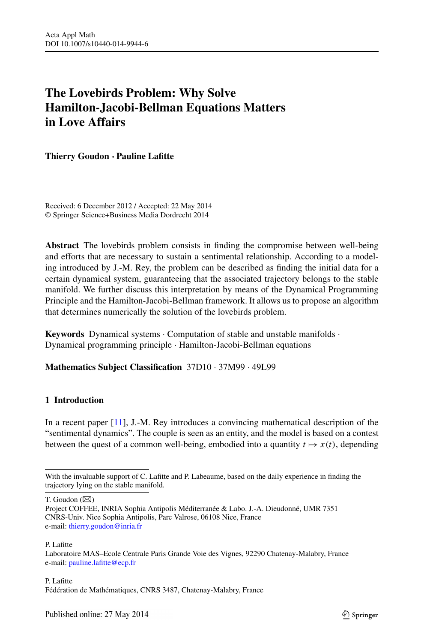# **The Lovebirds Problem: Why Solve Hamilton-Jacobi-Bellman Equations Matters in Love Affairs**

**Thierry Goudon · Pauline Lafitte**

Received: 6 December 2012 / Accepted: 22 May 2014 © Springer Science+Business Media Dordrecht 2014

**Abstract** The lovebirds problem consists in finding the compromise between well-being and efforts that are necessary to sustain a sentimental relationship. According to a modeling introduced by J.-M. Rey, the problem can be described as finding the initial data for a certain dynamical system, guaranteeing that the associated trajectory belongs to the stable manifold. We further discuss this interpretation by means of the Dynamical Programming Principle and the Hamilton-Jacobi-Bellman framework. It allows us to propose an algorithm that determines numerically the solution of the lovebirds problem.

**Keywords** Dynamical systems · Computation of stable and unstable manifolds · Dynamical programming principle · Hamilton-Jacobi-Bellman equations

# **Mathematics Subject Classification** 37D10 · 37M99 · 49L99

# **1 Introduction**

In a recent paper [\[11](#page-18-0)], J.-M. Rey introduces a convincing mathematical description of the "sentimental dynamics". The couple is seen as an entity, and the model is based on a contest between the quest of a common well-being, embodied into a quantity  $t \mapsto x(t)$ , depending

#### P. Lafitte

### P. Lafitte Fédération de Mathématiques, CNRS 3487, Chatenay-Malabry, France

With the invaluable support of C. Lafitte and P. Labeaume, based on the daily experience in finding the trajectory lying on the stable manifold.

T. Goudon  $(\boxtimes)$ 

Project COFFEE, INRIA Sophia Antipolis Méditerranée & Labo. J.-A. Dieudonné, UMR 7351 CNRS-Univ. Nice Sophia Antipolis, Parc Valrose, 06108 Nice, France e-mail: [thierry.goudon@inria.fr](mailto:thierry.goudon@inria.fr)

Laboratoire MAS–Ecole Centrale Paris Grande Voie des Vignes, 92290 Chatenay-Malabry, France e-mail: [pauline.lafitte@ecp.fr](mailto:pauline.lafitte@ecp.fr)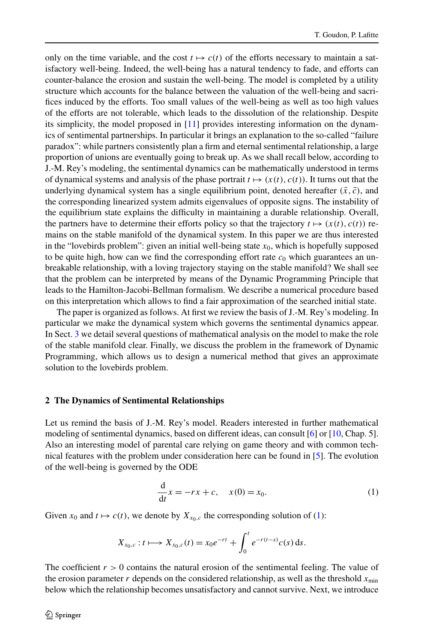only on the time variable, and the cost  $t \mapsto c(t)$  of the efforts necessary to maintain a satisfactory well-being. Indeed, the well-being has a natural tendency to fade, and efforts can counter-balance the erosion and sustain the well-being. The model is completed by a utility structure which accounts for the balance between the valuation of the well-being and sacrifices induced by the efforts. Too small values of the well-being as well as too high values of the efforts are not tolerable, which leads to the dissolution of the relationship. Despite its simplicity, the model proposed in [\[11\]](#page-18-0) provides interesting information on the dynamics of sentimental partnerships. In particular it brings an explanation to the so-called "failure paradox": while partners consistently plan a firm and eternal sentimental relationship, a large proportion of unions are eventually going to break up. As we shall recall below, according to J.-M. Rey's modeling, the sentimental dynamics can be mathematically understood in terms of dynamical systems and analysis of the phase portrait  $t \mapsto (x(t), c(t))$ . It turns out that the underlying dynamical system has a single equilibrium point, denoted hereafter  $(\bar{x}, \bar{c})$ , and the corresponding linearized system admits eigenvalues of opposite signs. The instability of the equilibrium state explains the difficulty in maintaining a durable relationship. Overall, the partners have to determine their efforts policy so that the trajectory  $t \mapsto (x(t), c(t))$  remains on the stable manifold of the dynamical system. In this paper we are thus interested in the "lovebirds problem": given an initial well-being state  $x_0$ , which is hopefully supposed to be quite high, how can we find the corresponding effort rate  $c_0$  which guarantees an unbreakable relationship, with a loving trajectory staying on the stable manifold? We shall see that the problem can be interpreted by means of the Dynamic Programming Principle that leads to the Hamilton-Jacobi-Bellman formalism. We describe a numerical procedure based on this interpretation which allows to find a fair approximation of the searched initial state.

The paper is organized as follows. At first we review the basis of J.-M. Rey's modeling. In particular we make the dynamical system which governs the sentimental dynamics appear. In Sect. [3](#page-5-0) we detail several questions of mathematical analysis on the model to make the role of the stable manifold clear. Finally, we discuss the problem in the framework of Dynamic Programming, which allows us to design a numerical method that gives an approximate solution to the lovebirds problem.

## **2 The Dynamics of Sentimental Relationships**

Let us remind the basis of J.-M. Rey's model. Readers interested in further mathematical modeling of sentimental dynamics, based on different ideas, can consult [\[6](#page-18-1)] or [\[10,](#page-18-2) Chap. 5]. Also an interesting model of parental care relying on game theory and with common technical features with the problem under consideration here can be found in [\[5](#page-18-3)]. The evolution of the well-being is governed by the ODE

<span id="page-1-0"></span>
$$
\frac{d}{dt}x = -rx + c, \quad x(0) = x_0.
$$
 (1)

Given  $x_0$  and  $t \mapsto c(t)$ , we denote by  $X_{x_0,c}$  the corresponding solution of [\(1\)](#page-1-0):

$$
X_{x_0,c}: t \longmapsto X_{x_0,c}(t) = x_0 e^{-rt} + \int_0^t e^{-r(t-s)} c(s) \, ds.
$$

The coefficient  $r > 0$  contains the natural erosion of the sentimental feeling. The value of the erosion parameter *r* depends on the considered relationship, as well as the threshold  $x_{\text{min}}$ below which the relationship becomes unsatisfactory and cannot survive. Next, we introduce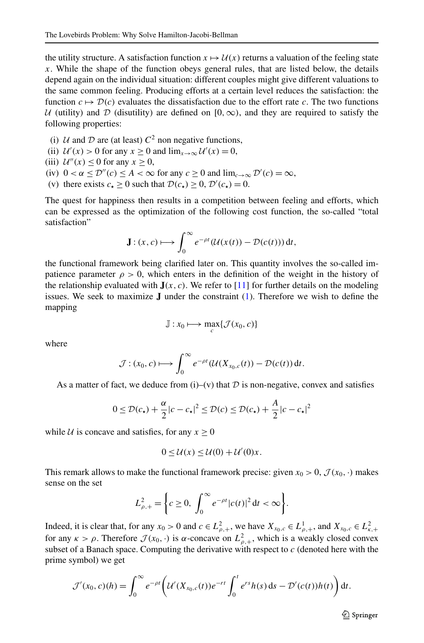the utility structure. A satisfaction function  $x \mapsto U(x)$  returns a valuation of the feeling state *x*. While the shape of the function obeys general rules, that are listed below, the details depend again on the individual situation: different couples might give different valuations to the same common feeling. Producing efforts at a certain level reduces the satisfaction: the function  $c \mapsto \mathcal{D}(c)$  evaluates the dissatisfaction due to the effort rate c. The two functions U (utility) and D (disutility) are defined on [0,  $\infty$ ), and they are required to satisfy the following properties:

- (i)  $U$  and  $D$  are (at least)  $C^2$  non negative functions,
- (ii)  $\mathcal{U}'(x) > 0$  for any  $x \ge 0$  and  $\lim_{x \to \infty} \mathcal{U}'(x) = 0$ ,
- (iii)  $\mathcal{U}''(x) \leq 0$  for any  $x \geq 0$ ,
- (iv)  $0 < \alpha \le \mathcal{D}''(c) \le A < \infty$  for any  $c \ge 0$  and  $\lim_{c \to \infty} \mathcal{D}'(c) = \infty$ ,
- (v) there exists  $c_{\star} \ge 0$  such that  $\mathcal{D}(c_{\star}) \ge 0$ ,  $\mathcal{D}'(c_{\star}) = 0$ .

The quest for happiness then results in a competition between feeling and efforts, which can be expressed as the optimization of the following cost function, the so-called "total satisfaction"

$$
\mathbf{J}:(x,c)\longmapsto\int_0^\infty e^{-\rho t}(\mathcal{U}(x(t))-\mathcal{D}(c(t)))\,\mathrm{d}t,
$$

the functional framework being clarified later on. This quantity involves the so-called impatience parameter  $\rho > 0$ , which enters in the definition of the weight in the history of the relationship evaluated with  $J(x, c)$ . We refer to [[11](#page-18-0)] for further details on the modeling issues. We seek to maximize **J** under the constraint [\(1\)](#page-1-0). Therefore we wish to define the mapping

$$
\mathbb{J}: x_0 \longmapsto \max_c \{\mathcal{J}(x_0, c)\}\
$$

where

$$
\mathcal{J}:(x_0,c)\longmapsto \int_0^\infty e^{-\rho t}(\mathcal{U}(X_{x_0,c}(t))-\mathcal{D}(c(t))\,dt.
$$

As a matter of fact, we deduce from (i)–(v) that  $D$  is non-negative, convex and satisfies

$$
0 \leq \mathcal{D}(c_{\star}) + \frac{\alpha}{2}|c - c_{\star}|^2 \leq \mathcal{D}(c) \leq \mathcal{D}(c_{\star}) + \frac{A}{2}|c - c_{\star}|^2
$$

while *U* is concave and satisfies, for any  $x \ge 0$ 

$$
0 \leq \mathcal{U}(x) \leq \mathcal{U}(0) + \mathcal{U}'(0)x.
$$

This remark allows to make the functional framework precise: given  $x_0 > 0$ ,  $\mathcal{J}(x_0, \cdot)$  makes sense on the set

$$
L_{\rho,+}^2 = \left\{ c \ge 0, \int_0^\infty e^{-\rho t} |c(t)|^2 \, \mathrm{d}t < \infty \right\}.
$$

Indeed, it is clear that, for any  $x_0 > 0$  and  $c \in L^2_{\rho,+}$ , we have  $X_{x_0,c} \in L^1_{\rho,+}$ , and  $X_{x_0,c} \in L^2_{\kappa,+}$ for any  $\kappa > \rho$ . Therefore  $\mathcal{J}(x_0, \cdot)$  is  $\alpha$ -concave on  $L^2_{\rho,+}$ , which is a weakly closed convex subset of a Banach space. Computing the derivative with respect to  $c$  (denoted here with the prime symbol) we get

$$
\mathcal{J}'(x_0, c)(h) = \int_0^{\infty} e^{-\rho t} \left( \mathcal{U}'(X_{x_0, c}(t)) e^{-rt} \int_0^t e^{rs} h(s) \, ds - \mathcal{D}'(c(t)) h(t) \right) dt.
$$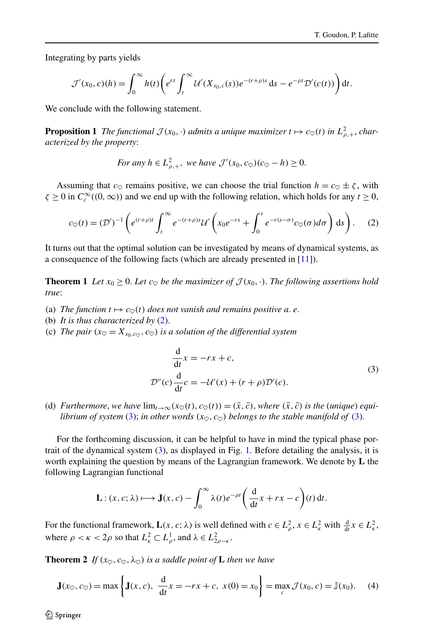Integrating by parts yields

$$
\mathcal{J}'(x_0,c)(h) = \int_0^\infty h(t) \bigg(e^{rt} \int_t^\infty \mathcal{U}'(X_{x_0,c}(s)) e^{-(r+\rho)s} ds - e^{-\rho t} \mathcal{D}'(c(t))\bigg) dt.
$$

We conclude with the following statement.

**Proposition 1** *The functional*  $\mathcal{J}(x_0, \cdot)$  *admits a unique maximizer*  $t \mapsto c_{\heartsuit}(t)$  *in*  $L^2_{\rho,+}$ *, characterized by the property*:

<span id="page-3-0"></span>For any 
$$
h \in L^2_{\rho,+}
$$
, we have  $\mathcal{J}'(x_0, c_{\heartsuit})(c_{\heartsuit} - h) \geq 0$ .

<span id="page-3-3"></span>Assuming that  $c_{\heartsuit}$  remains positive, we can choose the trial function  $h = c_{\heartsuit} \pm \zeta$ , with  $\zeta \ge 0$  in  $C_c^{\infty}((0, \infty))$  and we end up with the following relation, which holds for any  $t \ge 0$ ,

$$
c_{\heartsuit}(t) = (\mathcal{D}')^{-1} \left( e^{(r+\rho)t} \int_t^{\infty} e^{-(r+\rho)s} \mathcal{U}'\left(x_0 e^{-rs} + \int_0^s e^{-r(s-\sigma)} c_{\heartsuit}(\sigma) d\sigma \right) ds \right). \tag{2}
$$

It turns out that the optimal solution can be investigated by means of dynamical systems, as a consequence of the following facts (which are already presented in [[11](#page-18-0)]).

**Theorem 1** Let  $x_0 \geq 0$ . Let  $c_{\infty}$  be the maximizer of  $\mathcal{J}(x_0, \cdot)$ . The following assertions hold *true*:

- (a) The function  $t \mapsto c_{\heartsuit}(t)$  does not vanish and remains positive a. e.
- (b) *It is thus characterized by* [\(2\)](#page-3-0).
- (c) *The pair*  $(x_{\heartsuit} = X_{x_0,c_{\heartsuit}}, c_{\heartsuit})$  *is a solution of the differential system*

<span id="page-3-1"></span>
$$
\frac{d}{dt}x = -rx + c,
$$
  

$$
\mathcal{D}''(c)\frac{d}{dt}c = -\mathcal{U}'(x) + (r+\rho)\mathcal{D}'(c).
$$
 (3)

(d) *Furthermore, we have*  $\lim_{t\to\infty} (x_{\heartsuit}(t), c_{\heartsuit}(t)) = (\bar{x}, \bar{c})$ , *where*  $(\bar{x}, \bar{c})$  *is the (unique) equilibrium of system* [\(3](#page-3-1)); *in other words*  $(x_0, c_0)$  *belongs to the stable manifold of* ([3\)](#page-3-1).

For the forthcoming discussion, it can be helpful to have in mind the typical phase portrait of the dynamical system ([3\)](#page-3-1), as displayed in Fig. [1](#page-4-0). Before detailing the analysis, it is worth explaining the question by means of the Lagrangian framework. We denote by **L** the following Lagrangian functional

<span id="page-3-2"></span>
$$
\mathbf{L}: (x, c; \lambda) \longmapsto \mathbf{J}(x, c) - \int_0^\infty \lambda(t) e^{-\rho t} \left( \frac{\mathrm{d}}{\mathrm{d}t} x + rx - c \right) (t) \, \mathrm{d}t.
$$

For the functional framework,  $\mathbf{L}(x, c; \lambda)$  is well defined with  $c \in L^2_\rho$ ,  $x \in L^2_\kappa$  with  $\frac{d}{dt}x \in L^2_\kappa$ , where  $\rho < \kappa < 2\rho$  so that  $L^2_{\kappa} \subset L^1_{\rho}$ , and  $\lambda \in L^2_{2\rho - \kappa}$ .

**Theorem 2** *If*  $(x_0, c_0, \lambda_0)$  *is a saddle point of* **L** *then we have* 

$$
\mathbf{J}(x_{\heartsuit}, c_{\heartsuit}) = \max \left\{ \mathbf{J}(x, c), \ \frac{d}{dt} x = -rx + c, \ x(0) = x_0 \right\} = \max_{c} \mathcal{J}(x_0, c) = \mathbb{J}(x_0). \tag{4}
$$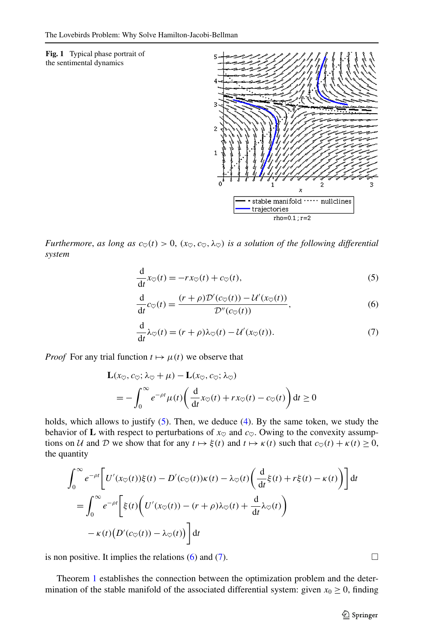<span id="page-4-0"></span>**Fig. 1** Typical phase portrait of the sentimental dynamics



*Furthermore, as long as*  $c_{\heartsuit}(t) > 0$ ,  $(x_{\heartsuit}, c_{\heartsuit}, \lambda_{\heartsuit})$  *is a solution of the following differential system*

<span id="page-4-3"></span><span id="page-4-2"></span><span id="page-4-1"></span>
$$
\frac{d}{dt}x_0(t) = -rx_0(t) + c_0(t),
$$
\n(5)

$$
\frac{d}{dt}c_{\heartsuit}(t) = \frac{(r+\rho)\mathcal{D}'(c_{\heartsuit}(t)) - \mathcal{U}'(x_{\heartsuit}(t))}{\mathcal{D}''(c_{\heartsuit}(t))},\tag{6}
$$

$$
\frac{\mathrm{d}}{\mathrm{d}t}\lambda_{\heartsuit}(t) = (r+\rho)\lambda_{\heartsuit}(t) - \mathcal{U}'(x_{\heartsuit}(t)).\tag{7}
$$

*Proof* For any trial function  $t \mapsto \mu(t)$  we observe that

$$
\mathbf{L}(x_{\heartsuit}, c_{\heartsuit}; \lambda_{\heartsuit} + \mu) - \mathbf{L}(x_{\heartsuit}, c_{\heartsuit}; \lambda_{\heartsuit})
$$
\n
$$
= -\int_0^{\infty} e^{-\rho t} \mu(t) \left( \frac{d}{dt} x_{\heartsuit}(t) + rx_{\heartsuit}(t) - c_{\heartsuit}(t) \right) dt \ge 0
$$

holds, which allows to justify  $(5)$ . Then, we deduce  $(4)$  $(4)$ . By the same token, we study the behavior of **L** with respect to perturbations of  $x_{\heartsuit}$  and  $c_{\heartsuit}$ . Owing to the convexity assumptions on U and D we show that for any  $t \mapsto \xi(t)$  and  $t \mapsto \kappa(t)$  such that  $c_{\heartsuit}(t) + \kappa(t) \ge 0$ , the quantity

$$
\int_0^{\infty} e^{-\rho t} \left[ U'(x_{\heartsuit}(t))\xi(t) - D'(c_{\heartsuit}(t))\kappa(t) - \lambda_{\heartsuit}(t) \left( \frac{d}{dt} \xi(t) + r\xi(t) - \kappa(t) \right) \right] dt
$$
\n
$$
= \int_0^{\infty} e^{-\rho t} \left[ \xi(t) \left( U'(x_{\heartsuit}(t)) - (r + \rho)\lambda_{\heartsuit}(t) + \frac{d}{dt} \lambda_{\heartsuit}(t) \right) - \kappa(t) \left( D'(c_{\heartsuit}(t)) - \lambda_{\heartsuit}(t) \right) \right] dt
$$

is non positive. It implies the relations ([6\)](#page-4-2) and [\(7\)](#page-4-3).  $\Box$ 

Theorem [1](#page-3-3) establishes the connection between the optimization problem and the determination of the stable manifold of the associated differential system: given  $x_0 \ge 0$ , finding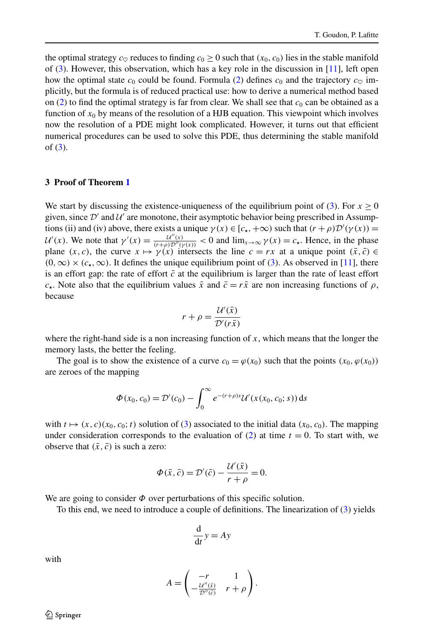<span id="page-5-0"></span>the optimal strategy  $c_{\heartsuit}$  reduces to finding  $c_0 \ge 0$  such that  $(x_0, c_0)$  lies in the stable manifold of  $(3)$  $(3)$  $(3)$ . However, this observation, which has a key role in the discussion in [[11](#page-18-0)], left open how the optimal state  $c_0$  could be found. Formula ([2](#page-3-0)) defines  $c_0$  and the trajectory  $c_{\infty}$  implicitly, but the formula is of reduced practical use: how to derive a numerical method based on  $(2)$  $(2)$  $(2)$  to find the optimal strategy is far from clear. We shall see that  $c_0$  can be obtained as a function of  $x_0$  by means of the resolution of a HJB equation. This viewpoint which involves now the resolution of a PDE might look complicated. However, it turns out that efficient numerical procedures can be used to solve this PDE, thus determining the stable manifold of [\(3\)](#page-3-1).

# **3 Proof of Theorem [1](#page-3-3)**

We start by discussing the existence-uniqueness of the equilibrium point of ([3\)](#page-3-1). For  $x \ge 0$ given, since  $\mathcal{D}'$  and  $\mathcal{U}'$  are monotone, their asymptotic behavior being prescribed in Assumptions (ii) and (iv) above, there exists a unique  $\gamma(x) \in [c_{\star}, +\infty)$  such that  $(r + \rho)\mathcal{D}'(\gamma(x)) =$  $U'(x)$ . We note that  $\gamma'(x) = \frac{U''(x)}{(r+\rho)\mathcal{D}''(\gamma(x))} < 0$  and  $\lim_{x\to\infty} \gamma(x) = c$ . Hence, in the phase plane  $(x, c)$ , the curve  $x \mapsto \gamma(x)$  intersects the line  $c = rx$  at a unique point  $(\bar{x}, \bar{c}) \in$  $(0, \infty) \times (c_{\star}, \infty)$ . It defines the unique equilibrium point of ([3](#page-3-1)). As observed in [\[11\]](#page-18-0), there is an effort gap: the rate of effort  $\bar{c}$  at the equilibrium is larger than the rate of least effort *c*<sub>**z**</sub>. Note also that the equilibrium values  $\bar{x}$  and  $\bar{c} = r\bar{x}$  are non increasing functions of *ρ*, because

$$
r + \rho = \frac{\mathcal{U}'(\bar{x})}{\mathcal{D}'(r\bar{x})}
$$

where the right-hand side is a non increasing function of *x*, which means that the longer the memory lasts, the better the feeling.

The goal is to show the existence of a curve  $c_0 = \varphi(x_0)$  such that the points  $(x_0, \varphi(x_0))$ are zeroes of the mapping

$$
\Phi(x_0, c_0) = \mathcal{D}'(c_0) - \int_0^\infty e^{-(r+\rho)s} \mathcal{U}'(x(x_0, c_0; s)) \, ds
$$

with  $t \mapsto (x, c)(x_0, c_0; t)$  solution of ([3](#page-3-1)) associated to the initial data  $(x_0, c_0)$ . The mapping under consideration corresponds to the evaluation of  $(2)$  $(2)$  $(2)$  at time  $t = 0$ . To start with, we observe that  $(\bar{x}, \bar{c})$  is such a zero:

$$
\Phi(\bar{x}, \bar{c}) = \mathcal{D}'(\bar{c}) - \frac{\mathcal{U}'(\bar{x})}{r + \rho} = 0.
$$

We are going to consider  $\Phi$  over perturbations of this specific solution.

To this end, we need to introduce a couple of definitions. The linearization of [\(3\)](#page-3-1) yields

$$
\frac{\mathrm{d}}{\mathrm{d}t}y = Ay
$$

with

$$
A = \begin{pmatrix} -r & 1 \\ -\frac{\mathcal{U}''(\bar{x})}{\mathcal{D}''(\bar{c})} & r+\rho \end{pmatrix}.
$$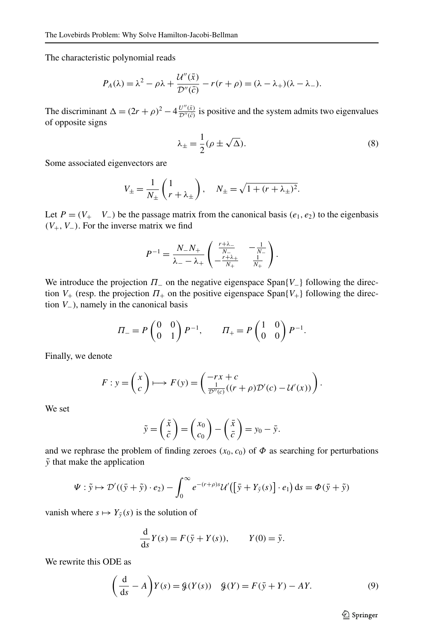The characteristic polynomial reads

$$
P_A(\lambda) = \lambda^2 - \rho \lambda + \frac{\mathcal{U}''(\bar{x})}{\mathcal{D}''(\bar{c})} - r(r + \rho) = (\lambda - \lambda_+)(\lambda - \lambda_-).
$$

The discriminant  $\Delta = (2r + \rho)^2 - 4 \frac{U''(\bar{x})}{D''(\bar{c})}$  is positive and the system admits two eigenvalues of opposite signs

<span id="page-6-1"></span>
$$
\lambda_{\pm} = \frac{1}{2} (\rho \pm \sqrt{\Delta}). \tag{8}
$$

Some associated eigenvectors are

$$
V_{\pm} = \frac{1}{N_{\pm}} \begin{pmatrix} 1 \\ r + \lambda_{\pm} \end{pmatrix}, \quad N_{\pm} = \sqrt{1 + (r + \lambda_{\pm})^2}.
$$

Let  $P = (V_+ \ V_-)$  be the passage matrix from the canonical basis  $(e_1, e_2)$  to the eigenbasis  $(V_+, V_-)$ . For the inverse matrix we find

$$
P^{-1} = \frac{N_{-}N_{+}}{\lambda_{-}-\lambda_{+}} \begin{pmatrix} \frac{r+\lambda_{-}}{N_{-}} & -\frac{1}{N_{-}}\\ -\frac{r+\lambda_{+}}{N_{+}} & \frac{1}{N_{+}} \end{pmatrix}.
$$

We introduce the projection  $\Pi$  on the negative eigenspace Span $\{V_-\}$  following the direction  $V_+$  (resp. the projection  $\Pi_+$  on the positive eigenspace Span $\{V_+\}$  following the direction *V*−), namely in the canonical basis

$$
\Pi = P \begin{pmatrix} 0 & 0 \\ 0 & 1 \end{pmatrix} P^{-1}, \qquad \Pi_{+} = P \begin{pmatrix} 1 & 0 \\ 0 & 0 \end{pmatrix} P^{-1}.
$$

Finally, we denote

$$
F: y = \begin{pmatrix} x \\ c \end{pmatrix} \longmapsto F(y) = \begin{pmatrix} -rx + c \\ \frac{1}{\mathcal{D}''(c)}((r + \rho)\mathcal{D}'(c) - \mathcal{U}'(x)) \end{pmatrix}.
$$

We set

$$
\tilde{y} = \begin{pmatrix} \tilde{x} \\ \tilde{c} \end{pmatrix} = \begin{pmatrix} x_0 \\ c_0 \end{pmatrix} - \begin{pmatrix} \bar{x} \\ \bar{c} \end{pmatrix} = y_0 - \bar{y}.
$$

and we rephrase the problem of finding zeroes  $(x_0, c_0)$  of  $\Phi$  as searching for perturbations  $\tilde{y}$  that make the application

$$
\Psi : \tilde{y} \mapsto \mathcal{D}'((\bar{y} + \tilde{y}) \cdot e_2) - \int_0^\infty e^{-(r+\rho)s} \mathcal{U}'([\bar{y} + Y_{\tilde{y}}(s)] \cdot e_1) ds = \Phi(\bar{y} + \tilde{y})
$$

vanish where  $s \mapsto Y_{\tilde{y}}(s)$  is the solution of

<span id="page-6-0"></span>
$$
\frac{\mathrm{d}}{\mathrm{d}s}Y(s) = F(\bar{y} + Y(s)), \qquad Y(0) = \tilde{y}.
$$

We rewrite this ODE as

$$
\left(\frac{\mathrm{d}}{\mathrm{d}s} - A\right)Y(s) = \mathcal{G}(Y(s)) \quad \mathcal{G}(Y) = F(\bar{y} + Y) - AY. \tag{9}
$$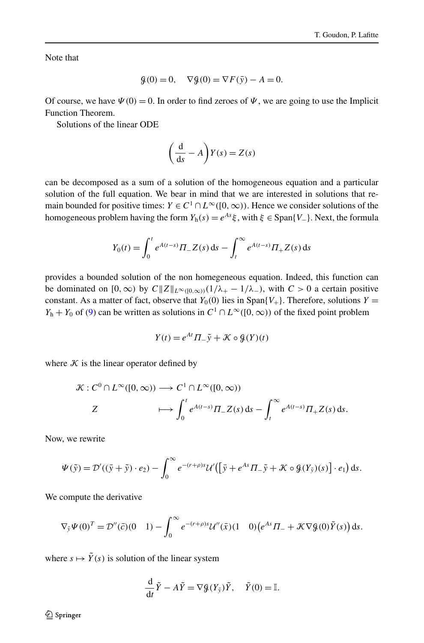Note that

$$
\mathcal{G}(0) = 0, \quad \nabla \mathcal{G}(0) = \nabla F(\bar{y}) - A = 0.
$$

Of course, we have  $\Psi(0) = 0$ . In order to find zeroes of  $\Psi$ , we are going to use the Implicit Function Theorem.

Solutions of the linear ODE

$$
\left(\frac{\mathrm{d}}{\mathrm{d}s} - A\right)Y(s) = Z(s)
$$

can be decomposed as a sum of a solution of the homogeneous equation and a particular solution of the full equation. We bear in mind that we are interested in solutions that remain bounded for positive times:  $Y \in C^1 \cap L^\infty([0,\infty))$ . Hence we consider solutions of the homogeneous problem having the form  $Y_h(s) = e^{As} \xi$ , with  $\xi \in \text{Span}\{V_-\}$ . Next, the formula

$$
Y_0(t) = \int_0^t e^{A(t-s)} \Pi_- Z(s) \, ds - \int_t^\infty e^{A(t-s)} \Pi_+ Z(s) \, ds
$$

provides a bounded solution of the non homegeneous equation. Indeed, this function can be dominated on  $[0, \infty)$  by  $C\|Z\|_{L^{\infty}([0,\infty))}(1/\lambda_{+} - 1/\lambda_{-})$ , with  $C > 0$  a certain positive constant. As a matter of fact, observe that  $Y_0(0)$  lies in Span $\{V_+\}$ . Therefore, solutions  $Y =$ *Y*<sub>h</sub> + *Y*<sub>0</sub> of ([9](#page-6-0)) can be written as solutions in  $C^1 \cap L^\infty([0,\infty))$  of the fixed point problem

$$
Y(t) = e^{At} \Pi_{-} \tilde{y} + \mathcal{K} \circ \mathcal{G}(Y)(t)
$$

where  $K$  is the linear operator defined by

$$
\mathcal{K}: C^0 \cap L^{\infty}([0, \infty)) \longrightarrow C^1 \cap L^{\infty}([0, \infty))
$$
  

$$
Z \longmapsto \int_0^t e^{A(t-s)} \Pi_{-} Z(s) ds - \int_t^{\infty} e^{A(t-s)} \Pi_{+} Z(s) ds.
$$

Now, we rewrite

$$
\Psi(\tilde{y}) = \mathcal{D}'((\tilde{y} + \tilde{y}) \cdot e_2) - \int_0^\infty e^{-(r+\rho)s} \mathcal{U}'\big(\big[\tilde{y} + e^{As}\Pi_-\tilde{y} + \mathcal{K}\circ\mathcal{G}(Y_{\tilde{y}})(s)\big]\cdot e_1\big) ds.
$$

We compute the derivative

$$
\nabla_{\tilde{y}} \Psi(0)^T = \mathcal{D}''(\bar{c})(0 \quad 1) - \int_0^\infty e^{-(r+\rho)s} \mathcal{U}''(\bar{x})(1 \quad 0) \left(e^{As}\Pi_- + \mathcal{K}\nabla\mathcal{G}(0)\tilde{Y}(s)\right) ds.
$$

where  $s \mapsto \tilde{Y}(s)$  is solution of the linear system

$$
\frac{\mathrm{d}}{\mathrm{d}t}\tilde{Y} - A\tilde{Y} = \nabla \mathcal{G}(Y_{\tilde{y}})\tilde{Y}, \quad \tilde{Y}(0) = \mathbb{I}.
$$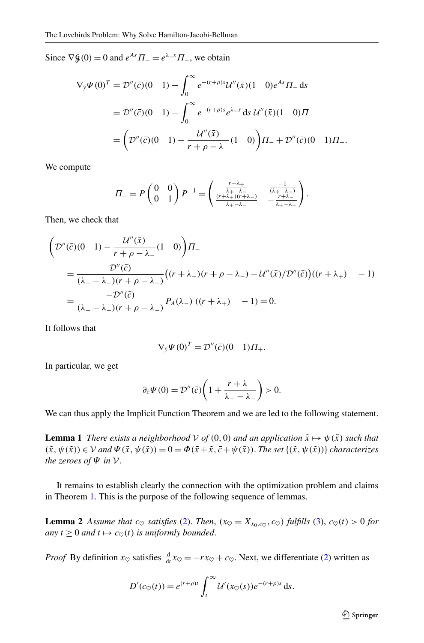Since  $\nabla \mathcal{G}(0) = 0$  and  $e^{As} \Pi = e^{\lambda - s} \Pi$ , we obtain

$$
\nabla_{\tilde{y}} \Psi(0)^{T} = \mathcal{D}''(\bar{c})(0 \quad 1) - \int_{0}^{\infty} e^{-(r+\rho)s} \mathcal{U}''(\bar{x})(1 \quad 0)e^{As} \Pi_{-} ds
$$
  
=  $\mathcal{D}''(\bar{c})(0 \quad 1) - \int_{0}^{\infty} e^{-(r+\rho)s} e^{\lambda_{-}s} ds \mathcal{U}''(\bar{x})(1 \quad 0)\Pi_{-} = \left(\mathcal{D}''(\bar{c})(0 \quad 1) - \frac{\mathcal{U}''(\bar{x})}{r+\rho-\lambda_{-}}(1 \quad 0)\right)\Pi_{-} + \mathcal{D}''(\bar{c})(0 \quad 1)\Pi_{+}.$ 

We compute

$$
\Pi_{-}=P\begin{pmatrix}0&0\\0&1\end{pmatrix}P^{-1}=\begin{pmatrix}\frac{r+\lambda_{+}}{\lambda_{+}-\lambda_{-}}&\frac{-1}{(\lambda_{+}-\lambda_{-})}\\ \frac{(r+\lambda_{+})(r+\lambda_{-})}{\lambda_{+}-\lambda_{-}}&-\frac{r+\lambda_{-}}{\lambda_{+}-\lambda_{-}}\end{pmatrix}.
$$

Then, we check that

$$
\left(\mathcal{D}''(\bar{c})(0 \quad 1) - \frac{\mathcal{U}''(\bar{x})}{r + \rho - \lambda_{-}} (1 \quad 0)\right) \Pi_{-}
$$
\n
$$
= \frac{\mathcal{D}''(\bar{c})}{(\lambda_{+} - \lambda_{-})(r + \rho - \lambda_{-})} \left( (r + \lambda_{-})(r + \rho - \lambda_{-}) - \mathcal{U}''(\bar{x}) / \mathcal{D}''(\bar{c}) \right) \left( (r + \lambda_{+}) - 1 \right)
$$
\n
$$
= \frac{-\mathcal{D}''(\bar{c})}{(\lambda_{+} - \lambda_{-})(r + \rho - \lambda_{-})} P_{A}(\lambda_{-}) \left( (r + \lambda_{+}) - 1 \right) = 0.
$$

It follows that

$$
\nabla_{\tilde{y}} \Psi(0)^T = \mathcal{D}''(\bar{c})(0 \quad 1) \Pi_+.
$$

<span id="page-8-1"></span>In particular, we get

$$
\partial_{\tilde{c}}\Psi(0)=\mathcal{D}''(\tilde{c})\bigg(1+\frac{r+\lambda_-}{\lambda_+-\lambda_-}\bigg)>0.
$$

We can thus apply the Implicit Function Theorem and we are led to the following statement.

<span id="page-8-0"></span>**Lemma 1** *There exists a neighborhood*  $V$  *of*  $(0,0)$  *and an application*  $\tilde{x} \mapsto \psi(\tilde{x})$  *such that*  $(\tilde{x}, \psi(\tilde{x})) \in V$  *and*  $\Psi(\tilde{x}, \psi(\tilde{x})) = 0 = \Phi(\bar{x} + \tilde{x}, \bar{c} + \psi(\tilde{x}))$ . *The set*  $\{(\tilde{x}, \psi(\tilde{x}))\}$  *characterizes the zeroes of Ψ in* V.

It remains to establish clearly the connection with the optimization problem and claims in Theorem [1.](#page-3-3) This is the purpose of the following sequence of lemmas.

**Lemma 2** *Assume that*  $c_{\heartsuit}$  *satisfies* [\(2](#page-3-0)). *Then*,  $(x_{\heartsuit} = X_{x_0,c_{\heartsuit}}, c_{\heartsuit})$  *fulfills* ([3](#page-3-1)),  $c_{\heartsuit}(t) > 0$  *for*  $any \t1 \geq 0 \tand \t1 \mapsto c_{\heartsuit}(t) \tis uniformly bounded.$ 

*Proof* By definition  $x_{\heartsuit}$  satisfies  $\frac{d}{dt}x_{\heartsuit} = -rx_{\heartsuit} + c_{\heartsuit}$ . Next, we differentiate ([2](#page-3-0)) written as

$$
D'(c_{\heartsuit}(t))=e^{(r+\rho)t}\int_t^{\infty}\mathcal{U}'(x_{\heartsuit}(s))e^{-(r+\rho)s}\,\mathrm{d} s.
$$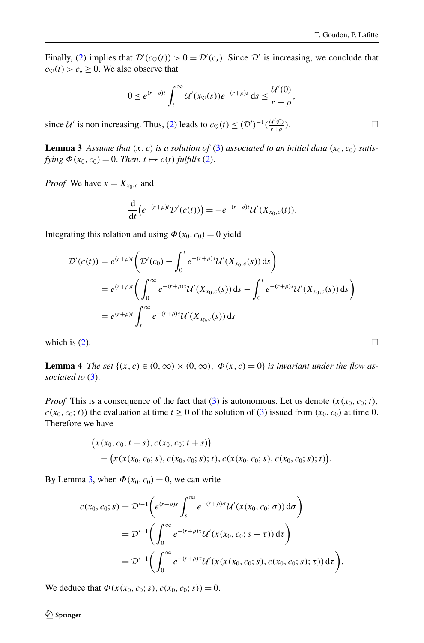<span id="page-9-0"></span>Finally, ([2](#page-3-0)) implies that  $\mathcal{D}'(c_{\heartsuit}(t)) > 0 = \mathcal{D}'(c_{\star})$ . Since  $\mathcal{D}'$  is increasing, we conclude that  $c_{\heartsuit}(t) > c_{\star} \geq 0$ . We also observe that

$$
0 \leq e^{(r+\rho)t} \int_t^{\infty} \mathcal{U}'(x_{\heartsuit}(s)) e^{-(r+\rho)s} ds \leq \frac{\mathcal{U}'(0)}{r+\rho},
$$

since  $U'$  is non increasing. Thus, ([2\)](#page-3-0) leads to  $c_{\heartsuit}(t) \leq (\mathcal{D}')^{-1}(\frac{U'(0)}{r+\rho})$ .

**Lemma 3** Assume that  $(x, c)$  is a solution of ([3\)](#page-3-1) associated to an initial data  $(x_0, c_0)$  satis*fying*  $\Phi(x_0, c_0) = 0$ . *Then,*  $t \mapsto c(t)$  *fulfills* [\(2\)](#page-3-0).

*Proof* We have  $x = X_{x_0,c}$  and

$$
\frac{\mathrm{d}}{\mathrm{d}t}\big(e^{-(r+\rho)t}\mathcal{D}'(c(t))\big)=-e^{-(r+\rho)t}\mathcal{U}'(X_{x_0,c}(t)).
$$

<span id="page-9-1"></span>Integrating this relation and using  $\Phi(x_0, c_0) = 0$  yield

$$
\mathcal{D}'(c(t)) = e^{(r+\rho)t} \left( \mathcal{D}'(c_0) - \int_0^t e^{-(r+\rho)s} \mathcal{U}'(X_{x_0,c}(s)) ds \right)
$$
  
=  $e^{(r+\rho)t} \left( \int_0^\infty e^{-(r+\rho)s} \mathcal{U}'(X_{x_0,c}(s)) ds - \int_0^t e^{-(r+\rho)s} \mathcal{U}'(X_{x_0,c}(s)) ds \right)$   
=  $e^{(r+\rho)t} \int_t^\infty e^{-(r+\rho)s} \mathcal{U}'(X_{x_0,c}(s)) ds$ 

which is [\(2\)](#page-3-0).  $\Box$ 

**Lemma 4** *The set*  $\{(x, c) \in (0, \infty) \times (0, \infty), \Phi(x, c) = 0\}$  *is invariant under the flow associated to* ([3](#page-3-1)).

*Proof* This is a consequence of the fact that ([3\)](#page-3-1) is autonomous. Let us denote  $(x(x_0, c_0; t))$ ,  $c(x_0, c_0; t)$  the evaluation at time  $t \ge 0$  of the solution of [\(3](#page-3-1)) issued from  $(x_0, c_0)$  at time 0. Therefore we have

$$
\begin{aligned} \big(x(x_0, c_0; t+s), c(x_0, c_0; t+s)\big) \\ &= \big(x(x_0, c_0; s), c(x_0, c_0; s); t), c(x(x_0, c_0; s), c(x_0, c_0; s); t)\big). \end{aligned}
$$

By Lemma [3](#page-9-0), when  $\Phi(x_0, c_0) = 0$ , we can write

$$
c(x_0, c_0; s) = \mathcal{D}'^{-1}\left(e^{(r+\rho)s}\int_s^{\infty}e^{-(r+\rho)\sigma}\mathcal{U}'(x(x_0, c_0; \sigma)) d\sigma\right)
$$
  

$$
= \mathcal{D}'^{-1}\left(\int_0^{\infty}e^{-(r+\rho)\tau}\mathcal{U}'(x(x_0, c_0; s+\tau)) d\tau\right)
$$
  

$$
= \mathcal{D}'^{-1}\left(\int_0^{\infty}e^{-(r+\rho)\tau}\mathcal{U}'(x(x(x_0, c_0; s), c(x_0, c_0; s); \tau)) d\tau\right).
$$

We deduce that  $\Phi(x(x_0, c_0; s), c(x_0, c_0; s)) = 0.$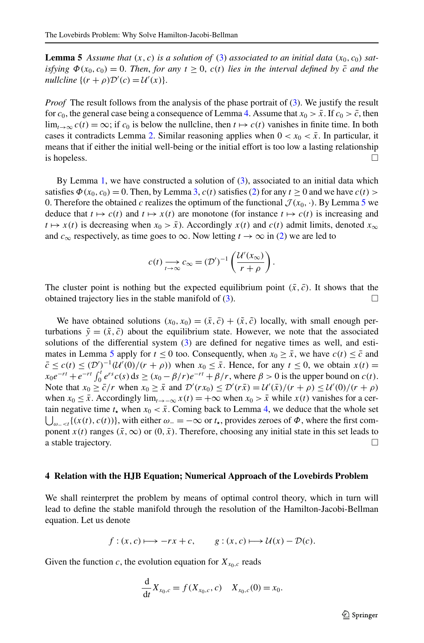<span id="page-10-0"></span>**Lemma 5** Assume that  $(x, c)$  is a solution of [\(3](#page-3-1)) associated to an initial data  $(x_0, c_0)$  sat*isfying*  $\Phi(x_0, c_0) = 0$ . *Then, for any*  $t \ge 0$ ,  $c(t)$  *lies in the interval defined by*  $\bar{c}$  *and the nullcline*  $\{(r+\rho)\mathcal{D}'(c) = \mathcal{U}'(x)\}.$ 

*Proof* The result follows from the analysis of the phase portrait of [\(3](#page-3-1)). We justify the result for  $c_0$ , the general case being a consequence of Lemma [4.](#page-9-1) Assume that  $x_0 > \bar{x}$ . If  $c_0 > \bar{c}$ , then  $\lim_{t\to\infty} c(t) = \infty$ ; if  $c_0$  is below the nullcline, then  $t \mapsto c(t)$  vanishes in finite time. In both cases it contradicts Lemma [2.](#page-8-0) Similar reasoning applies when  $0 < x_0 < \bar{x}$ . In particular, it means that if either the initial well-being or the initial effort is too low a lasting relationship is hopeless.  $\Box$ 

By Lemma [1](#page-8-1), we have constructed a solution of [\(3\)](#page-3-1), associated to an initial data which satisfies  $\Phi(x_0, c_0) = 0$ . Then, by Lemma [3](#page-9-0),  $c(t)$  satisfies [\(2](#page-3-0)) for any  $t \ge 0$  and we have  $c(t)$ 0. Therefore the obtained *c* realizes the optimum of the functional  $\mathcal{J}(x_0, \cdot)$ . By Lemma [5](#page-10-0) we deduce that  $t \mapsto c(t)$  and  $t \mapsto x(t)$  are monotone (for instance  $t \mapsto c(t)$  is increasing and  $t \mapsto x(t)$  is decreasing when  $x_0 > \bar{x}$ ). Accordingly  $x(t)$  and  $c(t)$  admit limits, denoted  $x_{\infty}$ and  $c_{\infty}$  respectively, as time goes to  $\infty$ . Now letting  $t \to \infty$  in ([2](#page-3-0)) we are led to

$$
c(t) \underset{t \to \infty}{\longrightarrow} c_{\infty} = (\mathcal{D}')^{-1} \left( \frac{\mathcal{U}'(x_{\infty})}{r + \rho} \right).
$$

The cluster point is nothing but the expected equilibrium point  $(\bar{x}, \bar{c})$ . It shows that the obtained trajectory lies in the stable manifold of  $(3)$ .

We have obtained solutions  $(x_0, x_0) = (\bar{x}, \bar{c}) + (\tilde{x}, \tilde{c})$  locally, with small enough perturbations  $\tilde{y} = (\tilde{x}, \tilde{c})$  about the equilibrium state. However, we note that the associated solutions of the differential system  $(3)$  $(3)$  are defined for negative times as well, and esti-mates in Lemma [5](#page-10-0) apply for  $t \le 0$  too. Consequently, when  $x_0 \ge \bar{x}$ , we have  $c(t) \le \bar{c}$  and  $\bar{c} \leq c(t) \leq (\mathcal{D}')^{-1}(\mathcal{U}'(0)/(r+\rho))$  when  $x_0 \leq \bar{x}$ . Hence, for any  $t \leq 0$ , we obtain  $x(t) =$  $x_0e^{-rt} + e^{-rt} \int_0^t e^{rs} c(s) ds \ge (x_0 - \beta/r)e^{-rt} + \beta/r$ , where  $\beta > 0$  is the upper bound on *c*(*t*). Note that  $x_0 \ge \bar{c}/r$  when  $x_0 \ge \bar{x}$  and  $\mathcal{D}'(rx_0) \le \mathcal{D}'(r\bar{x}) = \mathcal{U}'(\bar{x})/(r+\rho) \le \mathcal{U}'(0)/(r+\rho)$ when *x*<sub>0</sub> ≤  $\bar{x}$ . Accordingly lim<sub>*t*→−∞</sub> *x*(*t*) = +∞ when *x*<sub>0</sub> >  $\bar{x}$  while *x*(*t*) vanishes for a cer- $\bigcup_{\omega_- \leq t} \{(x(t), c(t))\}$ , with either  $\omega_- = -\infty$  or  $t_{\star}$ , provides zeroes of  $\Phi$ , where the first comtain negative time  $t_{\star}$  when  $x_0 < \bar{x}$ . Coming back to Lemma [4](#page-9-1), we deduce that the whole set ponent  $x(t)$  ranges  $(\bar{x}, \infty)$  or  $(0, \bar{x})$ . Therefore, choosing any initial state in this set leads to a stable trajectory.

#### **4 Relation with the HJB Equation; Numerical Approach of the Lovebirds Problem**

We shall reinterpret the problem by means of optimal control theory, which in turn will lead to define the stable manifold through the resolution of the Hamilton-Jacobi-Bellman equation. Let us denote

$$
f:(x,c)\longmapsto -rx+c
$$
,  $g:(x,c)\longmapsto \mathcal{U}(x)-\mathcal{D}(c)$ .

Given the function c, the evolution equation for  $X_{x_0,c}$  reads

$$
\frac{\mathrm{d}}{\mathrm{d}t}X_{x_0,c} = f(X_{x_0,c},c) \quad X_{x_0,c}(0) = x_0.
$$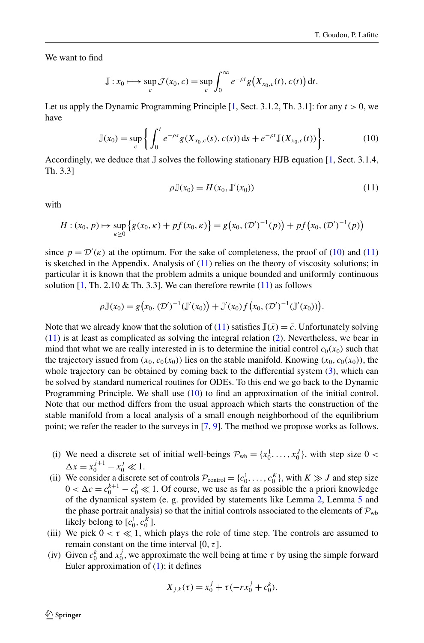We want to find

$$
\mathbb{J}: x_0 \longmapsto \sup_c \mathcal{J}(x_0,c) = \sup_c \int_0^\infty e^{-\rho t} g\big(X_{x_0,c}(t),c(t)\big) dt.
$$

Let us apply the Dynamic Programming Principle  $[1, Sect. 3.1.2, Th. 3.1]$  $[1, Sect. 3.1.2, Th. 3.1]$  $[1, Sect. 3.1.2, Th. 3.1]$ : for any  $t > 0$ , we have

$$
\mathbb{J}(x_0) = \sup_c \left\{ \int_0^t e^{-\rho s} g(X_{x_0,c}(s), c(s)) \, \mathrm{d} s + e^{-\rho t} \mathbb{J}(X_{x_0,c}(t)) \right\}.
$$
 (10)

Accordingly, we deduce that  $\mathbb J$  solves the following stationary HJB equation [[1](#page-17-0), Sect. 3.1.4, Th. 3.3]

<span id="page-11-1"></span><span id="page-11-0"></span>
$$
\rho \mathbb{J}(x_0) = H(x_0, \mathbb{J}'(x_0))
$$
\n<sup>(11)</sup>

with

$$
H: (x_0, p) \mapsto \sup_{\kappa \ge 0} \left\{ g(x_0, \kappa) + pf(x_0, \kappa) \right\} = g(x_0, (\mathcal{D}')^{-1}(p)) + pf(x_0, (\mathcal{D}')^{-1}(p))
$$

since  $p = \mathcal{D}'(\kappa)$  at the optimum. For the sake of completeness, the proof of ([10](#page-11-0)) and ([11](#page-11-1)) is sketched in the Appendix. Analysis of [\(11\)](#page-11-1) relies on the theory of viscosity solutions; in particular it is known that the problem admits a unique bounded and uniformly continuous solution  $[1, Th. 2.10 \& Th. 3.3]$  $[1, Th. 2.10 \& Th. 3.3]$  $[1, Th. 2.10 \& Th. 3.3]$ . We can therefore rewrite  $(11)$  as follows

$$
\rho \mathbb{J}(x_0) = g(x_0, (\mathcal{D}')^{-1}(\mathbb{J}'(x_0)) + \mathbb{J}'(x_0) f(x_0, (\mathcal{D}')^{-1}(\mathbb{J}'(x_0))).
$$

Note that we already know that the solution of [\(11\)](#page-11-1) satisfies  $\mathbb{J}(\bar{x}) = \bar{c}$ . Unfortunately solving ([11](#page-11-1)) is at least as complicated as solving the integral relation ([2](#page-3-0)). Nevertheless, we bear in mind that what we are really interested in is to determine the initial control  $c_0(x_0)$  such that the trajectory issued from  $(x_0, c_0(x_0))$  lies on the stable manifold. Knowing  $(x_0, c_0(x_0))$ , the whole trajectory can be obtained by coming back to the differential system [\(3](#page-3-1)), which can be solved by standard numerical routines for ODEs. To this end we go back to the Dynamic Programming Principle. We shall use [\(10\)](#page-11-0) to find an approximation of the initial control. Note that our method differs from the usual approach which starts the construction of the stable manifold from a local analysis of a small enough neighborhood of the equilibrium point; we refer the reader to the surveys in [\[7](#page-18-4), [9\]](#page-18-5). The method we propose works as follows.

- (i) We need a discrete set of initial well-beings  $\mathcal{P}_{wb} = \{x_0^1, \ldots, x_0^J\}$ , with step size 0 <  $\Delta x = x_0^{j+1} - x_0^j \ll 1.$
- (ii) We consider a discrete set of controls  $P_{\text{control}} = \{c_0^1, \ldots, c_0^K\}$ , with  $K \gg J$  and step size  $0 < \Delta c = c_0^{k+1} - c_0^k \ll 1$ . Of course, we use as far as possible the a priori knowledge of the dynamical system (e. g. provided by statements like Lemma [2,](#page-8-0) Lemma [5](#page-10-0) and the phase portrait analysis) so that the initial controls associated to the elements of  $P_{wh}$ likely belong to  $[c_0^1, c_0^K]$ .
- (iii) We pick  $0 < \tau \ll 1$ , which plays the role of time step. The controls are assumed to remain constant on the time interval [0*,τ* ].
- (iv) Given  $c_0^k$  and  $x_0^j$ , we approximate the well being at time  $\tau$  by using the simple forward Euler approximation of ([1](#page-1-0)); it defines

$$
X_{j,k}(\tau) = x_0^j + \tau(-rx_0^j + c_0^k).
$$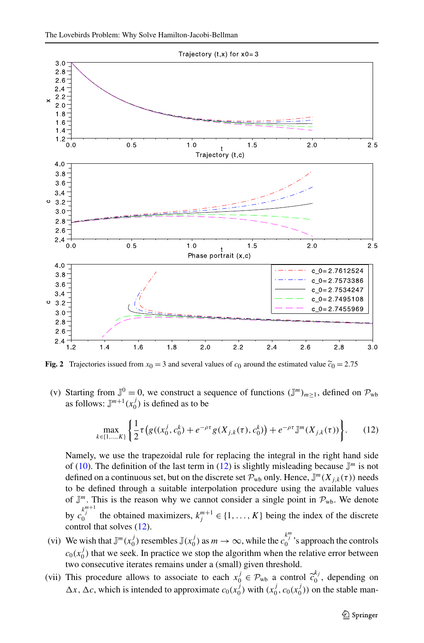

<span id="page-12-1"></span>**Fig. 2** Trajectories issued from  $x_0 = 3$  and several values of  $c_0$  around the estimated value  $\tilde{c}_0 = 2.75$ 

(v) Starting from  $\mathbb{J}^0 = 0$ , we construct a sequence of functions  $(\mathbb{J}^m)_{m \geq 1}$ , defined on  $\mathcal{P}_{wb}$ as follows:  $\mathbb{J}^{m+1}(x_0^j)$  is defined as to be

<span id="page-12-0"></span>
$$
\max_{k \in \{1, \ldots, K\}} \left\{ \frac{1}{2} \tau \left( g((x_0^j, c_0^k) + e^{-\rho \tau} g(X_{j,k}(\tau), c_0^k) \right) + e^{-\rho \tau} \mathbb{J}^m(X_{j,k}(\tau)) \right\}.
$$
 (12)

Namely, we use the trapezoidal rule for replacing the integral in the right hand side of [\(10\)](#page-11-0). The definition of the last term in ([12](#page-12-0)) is slightly misleading because  $\mathbb{J}^m$  is not defined on a continuous set, but on the discrete set  $\mathcal{P}_{wb}$  only. Hence,  $\mathbb{J}^m(X_{i,k}(\tau))$  needs to be defined through a suitable interpolation procedure using the available values of  $\mathbb{J}^m$ . This is the reason why we cannot consider a single point in  $\mathcal{P}_{wb}$ . We denote by  $c_0^{k_j^m+1}$  the obtained maximizers,  $k_j^{m+1} \in \{1, ..., K\}$  being the index of the discrete control that solves ([12](#page-12-0)).

- (vi) We wish that  $\mathbb{J}^m(x_0^j)$  resembles  $\mathbb{J}(x_0^j)$  as  $m \to \infty$ , while the  $c_0^{k_j^m}$ 's approach the controls  $c_0(x_0^j)$  that we seek. In practice we stop the algorithm when the relative error between two consecutive iterates remains under a (small) given threshold.
- (vii) This procedure allows to associate to each  $x_0^j \in \mathcal{P}_{\text{wb}}$  a control  $\tilde{c}_0^k$ , depending on  $\Delta x$ ,  $\Delta c$ , which is intended to approximate  $c_0(x^j)$ , with  $(x^j, c_0(x^j))$  on the stable man  $\Delta x$ ,  $\Delta c$ , which is intended to approximate  $c_0(x_0^j)$  with  $(x_0^j, c_0(x_0^j))$  on the stable man-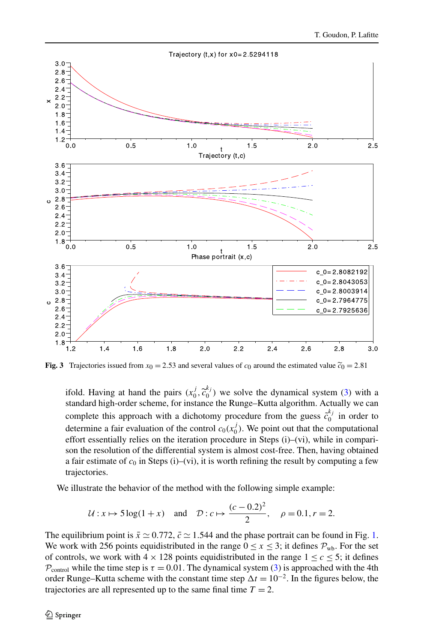

<span id="page-13-0"></span>**Fig. 3** Trajectories issued from  $x_0 = 2.53$  and several values of  $c_0$  around the estimated value  $\tilde{c}_0 = 2.81$ 

ifold. Having at hand the pairs  $(x_0^j, \tilde{c}_0^{k_j})$  we solve the dynamical system ([3](#page-3-1)) with a standard high-order scheme, for instance the Runge-Kutta algorithm. Actually we can standard high-order scheme, for instance the Runge–Kutta algorithm. Actually we can complete this approach with a dichotomy procedure from the guess  $\tilde{c}_0^{k_j}$  in order to determine a fair evaluation of the control  $c_0(x_0^j)$ . We point out that the computational effort essentially relies on the iteration procedure in Steps (i)–(vi), while in comparison the resolution of the differential system is almost cost-free. Then, having obtained a fair estimate of  $c_0$  in Steps (i)–(vi), it is worth refining the result by computing a few trajectories.

We illustrate the behavior of the method with the following simple example:

$$
U: x \mapsto 5\log(1+x)
$$
 and  $\mathcal{D}: c \mapsto \frac{(c-0.2)^2}{2}, \rho = 0.1, r = 2.$ 

The equilibrium point is  $\bar{x} \approx 0.772$ ,  $\bar{c} \approx 1.544$  $\bar{c} \approx 1.544$  $\bar{c} \approx 1.544$  and the phase portrait can be found in Fig. 1. We work with 256 points equidistributed in the range  $0 \le x \le 3$ ; it defines  $P_{wb}$ . For the set of controls, we work with  $4 \times 128$  points equidistributed in the range  $1 \leq c \leq 5$ ; it defines  $P_{control}$  while the time step is  $\tau = 0.01$ . The dynamical system ([3](#page-3-1)) is approached with the 4th order Runge–Kutta scheme with the constant time step  $\Delta t = 10^{-2}$ . In the figures below, the trajectories are all represented up to the same final time  $T = 2$ .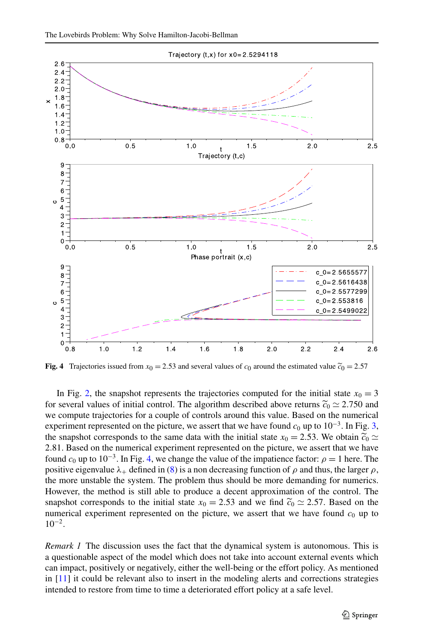

<span id="page-14-0"></span>**Fig. 4** Trajectories issued from  $x_0 = 2.53$  and several values of  $c_0$  around the estimated value  $\tilde{c}_0 = 2.57$ 

In Fig. [2,](#page-12-1) the snapshot represents the trajectories computed for the initial state  $x_0 = 3$ for several values of initial control. The algorithm described above returns  $\tilde{c}_0 \approx 2.750$  and we compute trajectories for a couple of controls around this value. Based on the numerical experiment represented on the picture, we assert that we have found  $c_0$  up to  $10^{-3}$  $10^{-3}$  $10^{-3}$ . In Fig. 3, the snapshot corresponds to the same data with the initial state  $x_0 = 2.53$ . We obtain  $\tilde{c}_0 \simeq$ 2*.*81. Based on the numerical experiment represented on the picture, we assert that we have found  $c_0$  up to 10<sup>-3</sup>. In Fig. [4,](#page-14-0) we change the value of the impatience factor:  $\rho = 1$  here. The positive eigenvalue  $\lambda_+$  defined in [\(8\)](#page-6-1) is a non decreasing function of  $\rho$  and thus, the larger  $\rho$ , the more unstable the system. The problem thus should be more demanding for numerics. However, the method is still able to produce a decent approximation of the control. The snapshot corresponds to the initial state  $x_0 = 2.53$  and we find  $\tilde{c}_0 \approx 2.57$ . Based on the numerical experiment represented on the picture, we assert that we have found  $c_0$  up to  $10^{-2}$ .

*Remark 1* The discussion uses the fact that the dynamical system is autonomous. This is a questionable aspect of the model which does not take into account external events which can impact, positively or negatively, either the well-being or the effort policy. As mentioned in [\[11\]](#page-18-0) it could be relevant also to insert in the modeling alerts and corrections strategies intended to restore from time to time a deteriorated effort policy at a safe level.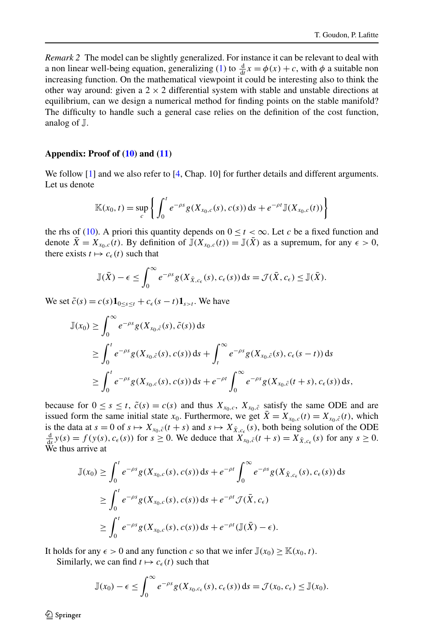*Remark 2* The model can be slightly generalized. For instance it can be relevant to deal with a non linear well-being equation, generalizing ([1\)](#page-1-0) to  $\frac{d}{dt}x = \phi(x) + c$ , with  $\phi$  a suitable non increasing function. On the mathematical viewpoint it could be interesting also to think the other way around: given a  $2 \times 2$  differential system with stable and unstable directions at equilibrium, can we design a numerical method for finding points on the stable manifold? The difficulty to handle such a general case relies on the definition of the cost function, analog of J.

#### **Appendix: Proof of ([10](#page-11-0)) and ([11\)](#page-11-1)**

We follow [[1](#page-17-0)] and we also refer to [\[4,](#page-17-1) Chap. 10] for further details and different arguments. Let us denote

$$
\mathbb{K}(x_0,t) = \sup_c \left\{ \int_0^t e^{-\rho s} g(X_{x_0,c}(s),c(s)) \, \mathrm{d} s + e^{-\rho t} \mathbb{J}(X_{x_0,c}(t)) \right\}
$$

the rhs of [\(10\)](#page-11-0). A priori this quantity depends on  $0 < t < \infty$ . Let *c* be a fixed function and denote  $\bar{X} = X_{x_0,c}(t)$ . By definition of  $\mathbb{J}(X_{x_0,c}(t)) = \mathbb{J}(\bar{X})$  as a supremum, for any  $\epsilon > 0$ , there exists  $t \mapsto c_{\epsilon}(t)$  such that

$$
\mathbb{J}(\bar{X})-\epsilon \leq \int_0^\infty e^{-\rho s} g(X_{\bar{X},c_\epsilon}(s),c_\epsilon(s)) ds = \mathcal{J}(\bar{X},c_\epsilon) \leq \mathbb{J}(\bar{X}).
$$

We set  $\tilde{c}(s) = c(s)\mathbf{1}_{0 \le s \le t} + c_{\epsilon}(s - t)\mathbf{1}_{s \ge t}$ . We have

$$
\mathbb{J}(x_0) \geq \int_0^\infty e^{-\rho s} g(X_{x_0,\tilde{c}}(s), \tilde{c}(s)) ds
$$
  
\n
$$
\geq \int_0^t e^{-\rho s} g(X_{x_0,\tilde{c}}(s), c(s)) ds + \int_t^\infty e^{-\rho s} g(X_{x_0,\tilde{c}}(s), c_{\epsilon}(s-t)) ds
$$
  
\n
$$
\geq \int_0^t e^{-\rho s} g(X_{x_0,c}(s), c(s)) ds + e^{-\rho t} \int_0^\infty e^{-\rho s} g(X_{x_0,\tilde{c}}(t+s), c_{\epsilon}(s)) ds,
$$

because for  $0 \le s \le t$ ,  $\tilde{c}(s) = c(s)$  and thus  $X_{x_0,c}$ ,  $X_{x_0,\tilde{c}}$  satisfy the same ODE and are issued form the same initial state  $x_0$ . Furthermore, we get  $\bar{X} = X_{x_0,c}(t) = X_{x_0,\tilde{c}}(t)$ , which is the data at  $s = 0$  of  $s \mapsto X_{x_0,\tilde{c}}(t + s)$  and  $s \mapsto X_{\tilde{X},c_{\epsilon}}(s)$ , both being solution of the ODE  $\frac{d}{dt}v(s) = f(v(s), c(s))$  for  $s > 0$ . We deduce that  $Y = (t + s) = Y_{\tilde{c}}$ . (s) for any  $s > 0$ .  $\frac{d}{ds}y(s) = f(y(s), c_{\epsilon}(s))$  for  $s \ge 0$ . We deduce that  $X_{x_0, \tilde{c}}(t + s) = X_{\bar{X}, c_{\epsilon}}(s)$  for any  $s \ge 0$ . We thus arrive at

$$
\mathbb{J}(x_0) \ge \int_0^t e^{-\rho s} g(X_{x_0,c}(s), c(s)) ds + e^{-\rho t} \int_0^\infty e^{-\rho s} g(X_{\bar{X},c_\epsilon}(s), c_\epsilon(s)) ds
$$
  
\n
$$
\ge \int_0^t e^{-\rho s} g(X_{x_0,c}(s), c(s)) ds + e^{-\rho t} \mathcal{J}(\bar{X}, c_\epsilon)
$$
  
\n
$$
\ge \int_0^t e^{-\rho s} g(X_{x_0,c}(s), c(s)) ds + e^{-\rho t} (\mathbb{J}(\bar{X}) - \epsilon).
$$

It holds for any  $\epsilon > 0$  and any function *c* so that we infer  $\mathbb{J}(x_0) \geq \mathbb{K}(x_0, t)$ .

Similarly, we can find  $t \mapsto c_{\epsilon}(t)$  such that

$$
\mathbb{J}(x_0)-\epsilon\leq \int_0^\infty e^{-\rho s}g(X_{x_0,c_\epsilon}(s),c_\epsilon(s))\,\mathrm{d} s=\mathcal{J}(x_0,c_\epsilon)\leq \mathbb{J}(x_0).
$$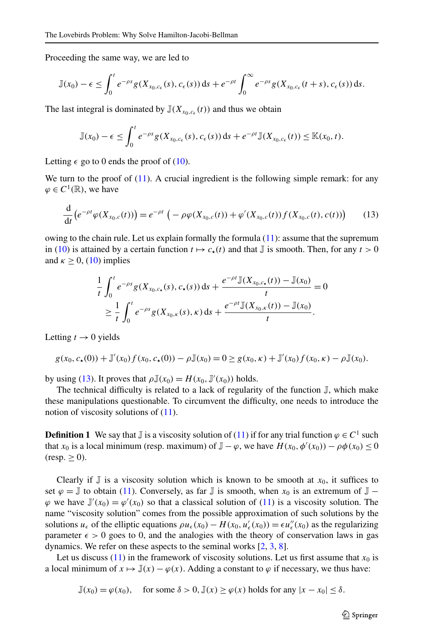Proceeding the same way, we are led to

$$
\mathbb{J}(x_0)-\epsilon\leq \int_0^t e^{-\rho s}g(X_{x_0,c_{\epsilon}}(s),c_{\epsilon}(s))\,ds+e^{-\rho t}\int_0^{\infty}e^{-\rho s}g(X_{x_0,c_{\epsilon}}(t+s),c_{\epsilon}(s))\,ds.
$$

The last integral is dominated by  $\mathbb{J}(X_{x_0,c_{\epsilon}}(t))$  and thus we obtain

<span id="page-16-0"></span>
$$
\mathbb{J}(x_0)-\epsilon\leq \int_0^t e^{-\rho s}g(X_{x_0,c_{\epsilon}}(s),c_{\epsilon}(s))\,ds+e^{-\rho t}\mathbb{J}(X_{x_0,c_{\epsilon}}(t))\leq \mathbb{K}(x_0,t).
$$

Letting  $\epsilon$  go to 0 ends the proof of [\(10\)](#page-11-0).

We turn to the proof of  $(11)$  $(11)$  $(11)$ . A crucial ingredient is the following simple remark: for any  $\varphi \in C^1(\mathbb{R})$ , we have

$$
\frac{d}{dt}\left(e^{-\rho t}\varphi(X_{x_0,c}(t))\right) = e^{-\rho t}\left(-\rho\varphi(X_{x_0,c}(t)) + \varphi'(X_{x_0,c}(t))f(X_{x_0,c}(t),c(t))\right) \tag{13}
$$

owing to the chain rule. Let us explain formally the formula  $(11)$ : assume that the supremum in ([10](#page-11-0)) is attained by a certain function  $t \mapsto c_*(t)$  and that  $\mathbb J$  is smooth. Then, for any  $t > 0$ and  $\kappa > 0$ , [\(10\)](#page-11-0) implies

$$
\frac{1}{t} \int_0^t e^{-\rho s} g(X_{x_0,c_\star}(s), c_\star(s)) \, ds + \frac{e^{-\rho t} \mathbb{J}(X_{x_0,c_\star}(t)) - \mathbb{J}(x_0)}{t} = 0
$$
\n
$$
\geq \frac{1}{t} \int_0^t e^{-\rho s} g(X_{x_0,\kappa}(s), \kappa) \, ds + \frac{e^{-\rho t} \mathbb{J}(X_{x_0,\kappa}(t)) - \mathbb{J}(x_0)}{t}.
$$

Letting  $t \to 0$  yields

$$
g(x_0, c_\star(0)) + \mathbb{J}'(x_0) f(x_0, c_\star(0)) - \rho \mathbb{J}(x_0) = 0 \ge g(x_0, \kappa) + \mathbb{J}'(x_0) f(x_0, \kappa) - \rho \mathbb{J}(x_0).
$$

by using ([13](#page-16-0)). It proves that  $\rho \mathbb{J}(x_0) = H(x_0, \mathbb{J}'(x_0))$  holds.

The technical difficulty is related to a lack of regularity of the function  $\mathbb{J}$ , which make these manipulations questionable. To circumvent the difficulty, one needs to introduce the notion of viscosity solutions of  $(11)$  $(11)$  $(11)$ .

**Definition 1** We say that  $\mathbb{J}$  is a viscosity solution of [\(11\)](#page-11-1) if for any trial function  $\varphi \in C^1$  such that  $x_0$  is a local minimum (resp. maximum) of  $\mathbb{J} - \varphi$ , we have  $H(x_0, \phi'(x_0)) - \rho \phi(x_0) \le 0$  $(resp. \geq 0).$ 

Clearly if  $\mathbb J$  is a viscosity solution which is known to be smooth at  $x_0$ , it suffices to set  $\varphi = J$  to obtain [\(11\)](#page-11-1). Conversely, as far J is smooth, when  $x_0$  is an extremum of  $J \varphi$  we have  $\mathbb{J}'(x_0) = \varphi'(x_0)$  so that a classical solution of [\(11\)](#page-11-1) is a viscosity solution. The name "viscosity solution" comes from the possible approximation of such solutions by the solutions  $u_{\epsilon}$  of the elliptic equations  $\rho u_{\epsilon}(x_0) - H(x_0, u'_{\epsilon}(x_0)) = \epsilon u''_{\epsilon}(x_0)$  as the regularizing parameter  $\epsilon > 0$  goes to 0, and the analogies with the theory of conservation laws in gas dynamics. We refer on these aspects to the seminal works [\[2,](#page-17-2) [3](#page-17-3), [8\]](#page-18-6).

Let us discuss ([11](#page-11-1)) in the framework of viscosity solutions. Let us first assume that  $x_0$  is a local minimum of  $x \mapsto \mathbb{J}(x) - \varphi(x)$ . Adding a constant to  $\varphi$  if necessary, we thus have:

$$
\mathbb{J}(x_0) = \varphi(x_0), \quad \text{ for some } \delta > 0, \mathbb{J}(x) \ge \varphi(x) \text{ holds for any } |x - x_0| \le \delta.
$$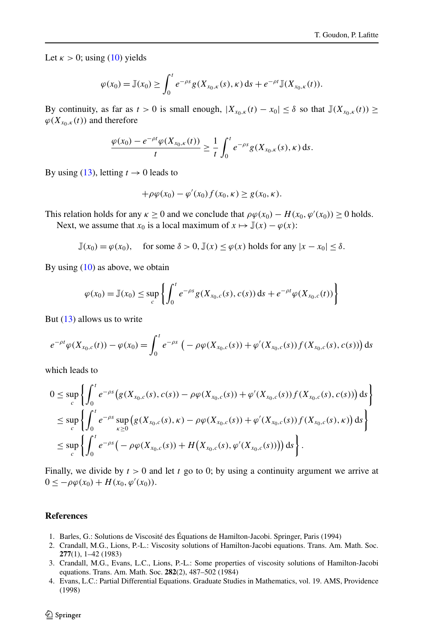Let  $\kappa > 0$ ; using [\(10\)](#page-11-0) yields

$$
\varphi(x_0) = \mathbb{J}(x_0) \ge \int_0^t e^{-\rho s} g(X_{x_0,\kappa}(s), \kappa) \, \mathrm{d} s + e^{-\rho t} \mathbb{J}(X_{x_0,\kappa}(t)).
$$

By continuity, as far as  $t > 0$  is small enough,  $|X_{x_0, k}(t) - x_0| \leq \delta$  so that  $\mathbb{J}(X_{x_0, k}(t)) \geq$  $\varphi(X_{x_0,k}(t))$  and therefore

$$
\frac{\varphi(x_0) - e^{-\rho t} \varphi(X_{x_0,\kappa}(t))}{t} \geq \frac{1}{t} \int_0^t e^{-\rho s} g(X_{x_0,\kappa}(s),\kappa) \,ds.
$$

By using [\(13\)](#page-16-0), letting  $t \to 0$  leads to

$$
+\rho\varphi(x_0)-\varphi'(x_0)f(x_0,\kappa)\geq g(x_0,\kappa).
$$

This relation holds for any  $\kappa \ge 0$  and we conclude that  $\rho \varphi(x_0) - H(x_0, \varphi'(x_0)) \ge 0$  holds. Next, we assume that  $x_0$  is a local maximum of  $x \mapsto \mathbb{J}(x) - \varphi(x)$ :

 $\mathbb{J}(x_0) = \varphi(x_0)$ , for some  $\delta > 0$ ,  $\mathbb{J}(x) \leq \varphi(x)$  holds for any  $|x - x_0| \leq \delta$ .

By using  $(10)$  as above, we obtain

$$
\varphi(x_0) = \mathbb{J}(x_0) \le \sup_c \left\{ \int_0^t e^{-\rho s} g(X_{x_0,c}(s), c(s)) \, ds + e^{-\rho t} \varphi(X_{x_0,c}(t)) \right\}
$$

But [\(13](#page-16-0)) allows us to write

$$
e^{-\rho t}\varphi(X_{x_0,c}(t)) - \varphi(x_0) = \int_0^t e^{-\rho s} \left( -\rho \varphi(X_{x_0,c}(s)) + \varphi'(X_{x_0,c}(s)) f(X_{x_0,c}(s),c(s)) \right) ds
$$

which leads to

$$
0 \leq \sup_{c} \left\{ \int_{0}^{t} e^{-\rho s} \left( g(X_{x_{0},c}(s),c(s)) - \rho \varphi(X_{x_{0},c}(s)) + \varphi'(X_{x_{0},c}(s)) f(X_{x_{0},c}(s),c(s)) \right) ds \right\}
$$
  

$$
\leq \sup_{c} \left\{ \int_{0}^{t} e^{-\rho s} \sup_{\kappa \geq 0} \left( g(X_{x_{0},c}(s),\kappa) - \rho \varphi(X_{x_{0},c}(s)) + \varphi'(X_{x_{0},c}(s)) f(X_{x_{0},c}(s),\kappa) \right) ds \right\}
$$
  

$$
\leq \sup_{c} \left\{ \int_{0}^{t} e^{-\rho s} \left( -\rho \varphi(X_{x_{0},c}(s)) + H(X_{x_{0},c}(s),\varphi'(X_{x_{0},c}(s))) \right) ds \right\}.
$$

<span id="page-17-3"></span><span id="page-17-2"></span><span id="page-17-1"></span><span id="page-17-0"></span>Finally, we divide by  $t > 0$  and let  $t \ge 0$  to 0; by using a continuity argument we arrive at  $0 \leq -\rho \varphi(x_0) + H(x_0, \varphi'(x_0)).$ 

# **References**

- 1. Barles, G.: Solutions de Viscosité des Équations de Hamilton-Jacobi. Springer, Paris (1994)
- 2. Crandall, M.G., Lions, P.-L.: Viscosity solutions of Hamilton-Jacobi equations. Trans. Am. Math. Soc. **277**(1), 1–42 (1983)
- 3. Crandall, M.G., Evans, L.C., Lions, P.-L.: Some properties of viscosity solutions of Hamilton-Jacobi equations. Trans. Am. Math. Soc. **282**(2), 487–502 (1984)
- 4. Evans, L.C.: Partial Differential Equations. Graduate Studies in Mathematics, vol. 19. AMS, Providence (1998)